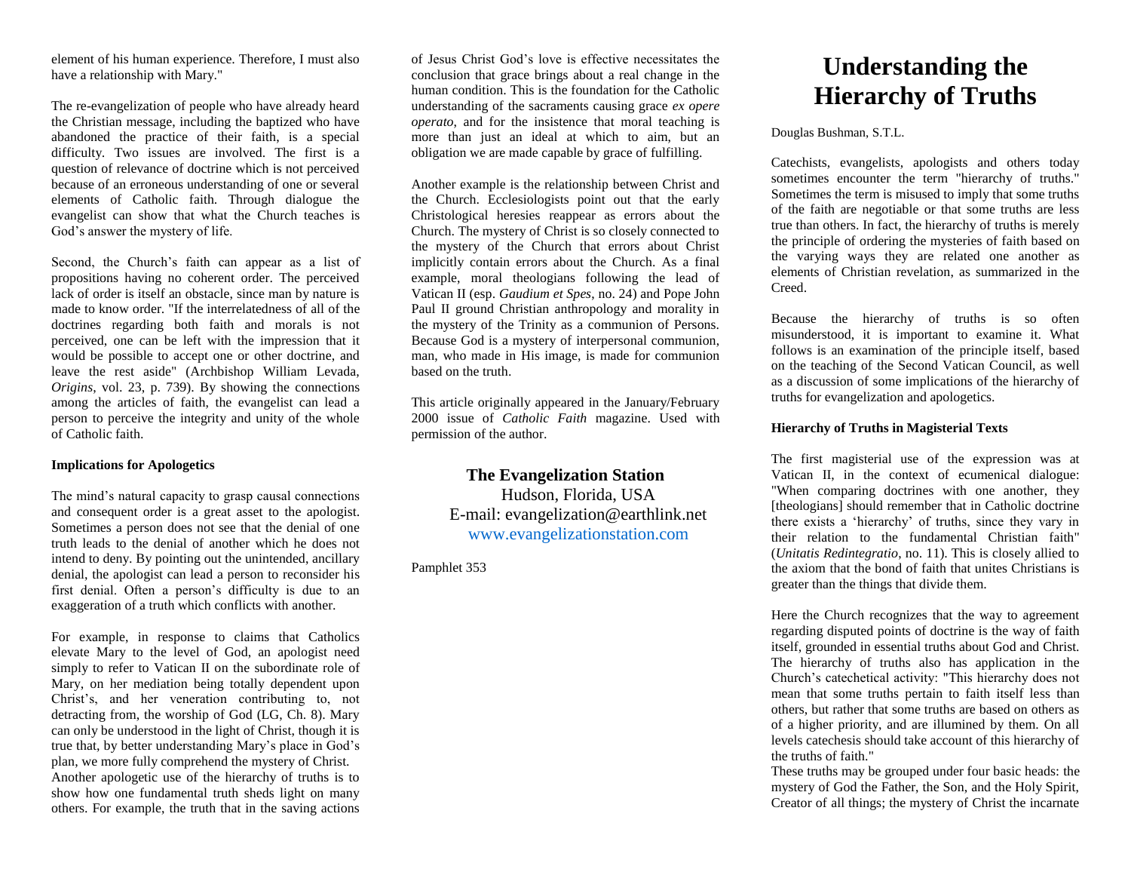element of his human experience. Therefore, I must also have a relationship with Mary."

The re-evangelization of people who have already heard the Christian message, including the baptized who have abandoned the practice of their faith, is a special difficulty. Two issues are involved. The first is a question of relevance of doctrine which is not perceived because of an erroneous understanding of one or several elements of Catholic faith. Through dialogue the evangelist can show that what the Church teaches is God's answer the mystery of life.

Second, the Church's faith can appear as a list of propositions having no coherent order. The perceived lack of order is itself an obstacle, since man by nature is made to know order. "If the interrelatedness of all of the doctrines regarding both faith and morals is not perceived, one can be left with the impression that it would be possible to accept one or other doctrine, and leave the rest aside" (Archbishop William Levada, *Origins*, vol. 23, p. 739). By showing the connections among the articles of faith, the evangelist can lead a person to perceive the integrity and unity of the whole of Catholic faith.

## **Implications for Apologetics**

The mind's natural capacity to grasp causal connections and consequent order is a great asset to the apologist. Sometimes a person does not see that the denial of one truth leads to the denial of another which he does not intend to deny. By pointing out the unintended, ancillary denial, the apologist can lead a person to reconsider his first denial. Often a person's difficulty is due to an exaggeration of a truth which conflicts with another.

For example, in response to claims that Catholics elevate Mary to the level of God, an apologist need simply to refer to Vatican II on the subordinate role of Mary, on her mediation being totally dependent upon Christ's, and her veneration contributing to, not detracting from, the worship of God (LG, Ch. 8). Mary can only be understood in the light of Christ, though it is true that, by better understanding Mary's place in God's plan, we more fully comprehend the mystery of Christ. Another apologetic use of the hierarchy of truths is to show how one fundamental truth sheds light on many others. For example, the truth that in the saving actions

of Jesus Christ God's love is effective necessitates the conclusion that grace brings about a real change in the human condition. This is the foundation for the Catholic understanding of the sacraments causing grace *ex opere operato*, and for the insistence that moral teaching is more than just an ideal at which to aim, but an obligation we are made capable by grace of fulfilling.

Another example is the relationship between Christ and the Church. Ecclesiologists point out that the early Christological heresies reappear as errors about the Church. The mystery of Christ is so closely connected to the mystery of the Church that errors about Christ implicitly contain errors about the Church. As a final example, moral theologians following the lead of Vatican II (esp. *Gaudium et Spes*, no. 24) and Pope John Paul II ground Christian anthropology and morality in the mystery of the Trinity as a communion of Persons. Because God is a mystery of interpersonal communion, man, who made in His image, is made for communion based on the truth.

This article originally appeared in the January/February 2000 issue of *Catholic Faith* magazine. Used with permission of the author.

> **The Evangelization Station**  Hudson, Florida, USA E-mail: evangelization@earthlink.net [www.evangelizationstation.com](http://www.pjpiisoe.org/)

Pamphlet 353

# **Understanding the Hierarchy of Truths**

Douglas Bushman, S.T.L.

Catechists, evangelists, apologists and others today sometimes encounter the term "hierarchy of truths." Sometimes the term is misused to imply that some truths of the faith are negotiable or that some truths are less true than others. In fact, the hierarchy of truths is merely the principle of ordering the mysteries of faith based on the varying ways they are related one another as elements of Christian revelation, as summarized in the Creed.

Because the hierarchy of truths is so often misunderstood, it is important to examine it. What follows is an examination of the principle itself, based on the teaching of the Second Vatican Council, as well as a discussion of some implications of the hierarchy of truths for evangelization and apologetics.

### **Hierarchy of Truths in Magisterial Texts**

The first magisterial use of the expression was at Vatican II, in the context of ecumenical dialogue: "When comparing doctrines with one another, they [theologians] should remember that in Catholic doctrine there exists a 'hierarchy' of truths, since they vary in their relation to the fundamental Christian faith" (*Unitatis Redintegratio*, no. 11). This is closely allied to the axiom that the bond of faith that unites Christians is greater than the things that divide them.

Here the Church recognizes that the way to agreement regarding disputed points of doctrine is the way of faith itself, grounded in essential truths about God and Christ. The hierarchy of truths also has application in the Church's catechetical activity: "This hierarchy does not mean that some truths pertain to faith itself less than others, but rather that some truths are based on others as of a higher priority, and are illumined by them. On all levels catechesis should take account of this hierarchy of the truths of faith."

These truths may be grouped under four basic heads: the mystery of God the Father, the Son, and the Holy Spirit, Creator of all things; the mystery of Christ the incarnate